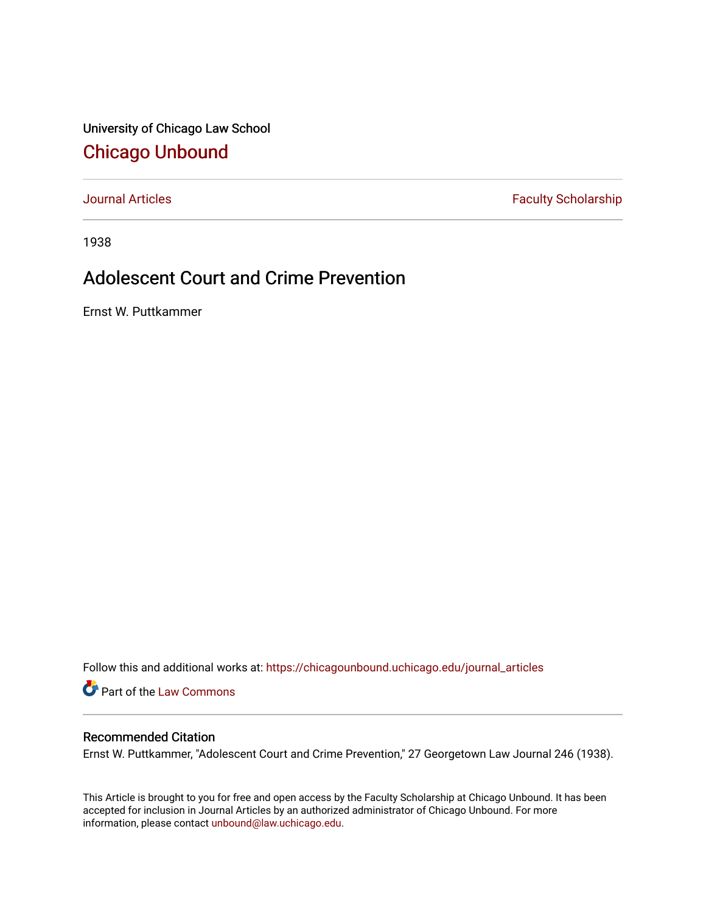University of Chicago Law School [Chicago Unbound](https://chicagounbound.uchicago.edu/)

[Journal Articles](https://chicagounbound.uchicago.edu/journal_articles) **Faculty Scholarship Faculty Scholarship** 

1938

## Adolescent Court and Crime Prevention

Ernst W. Puttkammer

Follow this and additional works at: [https://chicagounbound.uchicago.edu/journal\\_articles](https://chicagounbound.uchicago.edu/journal_articles?utm_source=chicagounbound.uchicago.edu%2Fjournal_articles%2F8833&utm_medium=PDF&utm_campaign=PDFCoverPages) 

Part of the [Law Commons](http://network.bepress.com/hgg/discipline/578?utm_source=chicagounbound.uchicago.edu%2Fjournal_articles%2F8833&utm_medium=PDF&utm_campaign=PDFCoverPages)

## Recommended Citation

Ernst W. Puttkammer, "Adolescent Court and Crime Prevention," 27 Georgetown Law Journal 246 (1938).

This Article is brought to you for free and open access by the Faculty Scholarship at Chicago Unbound. It has been accepted for inclusion in Journal Articles by an authorized administrator of Chicago Unbound. For more information, please contact [unbound@law.uchicago.edu](mailto:unbound@law.uchicago.edu).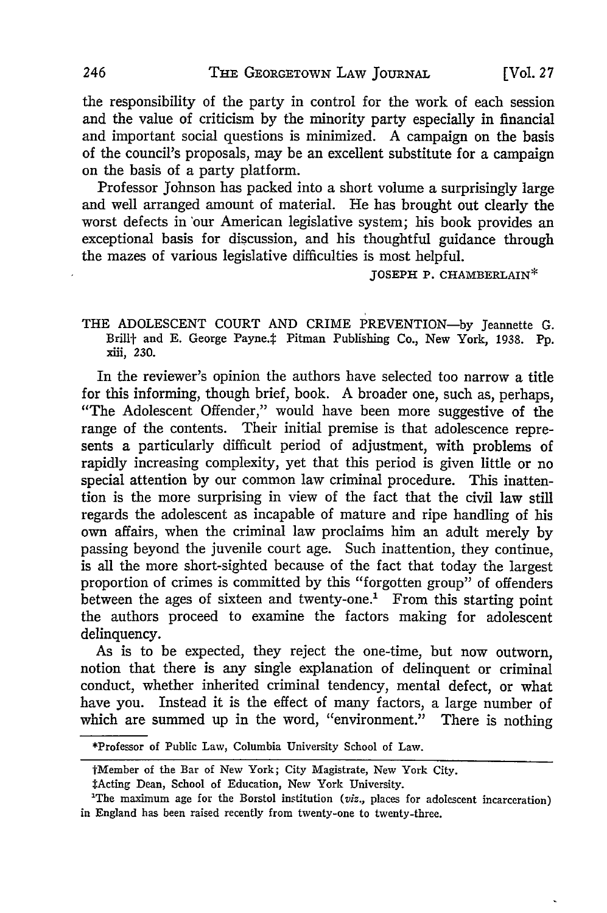the responsibility of the party in control for the work of each session and the value of criticism by the minority party especially in financial and important social questions is minimized. A campaign on the basis of the council's proposals, may be an excellent substitute for a campaign on the basis of a party platform.

Professor Johnson has packed into a short volume a surprisingly large and well arranged amount of material. He has brought out clearly the worst defects in "our American legislative system; his book provides an exceptional basis for discussion, and his thoughtful guidance through the mazes of various legislative difficulties is most helpful.

**JOSEPH** P. CHAMBERLAIN\*

THE ADOLESCENT COURT AND CRIME PREVENTION-by Jeannette G. Brillt and E. George Payne.# Pitman Publishing Co., New York, 1938. Pp. **xiii, 230.**

In the reviewer's opinion the authors have selected too narrow a title for this informing, though brief, book. A broader one, such as, perhaps, "The Adolescent Offender," would have been more suggestive of the range of the contents. Their initial premise is that adolescence represents a particularly difficult period of adjustment, with problems of rapidly increasing complexity, yet that this period is given little or no special attention by our common law criminal procedure. This inattention is the more surprising in view of the fact that the civil law still regards the adolescent as incapable of mature and ripe handling of his own affairs, when the criminal law proclaims him an adult merely by passing beyond the juvenile court age. Such inattention, they continue, is all the more short-sighted because of the fact that today the largest proportion of crimes is committed by this "forgotten group" of offenders between the ages of sixteen and twenty-one.' From this starting point the authors proceed to examine the factors making for adolescent delinquency.

As is to be expected, they reject the one-time, but now outworn, notion that there is any single explanation of delinquent or criminal conduct, whether inherited criminal tendency, mental defect, or what have you. Instead it is the effect of many factors, a large number of which are summed up in the word, "environment." There is nothing

<sup>\*</sup>Professor of Public Law, Columbia University School of Law.

tMember of the **Bar** of New **York;** City Magistrate, New York City.

TActing Dean, **School of** Education, New York University. **<sup>1</sup>**

**The** maximum age **for** the Borstol institution *(viz.,* places **for** adolescent incarceration) in England has been raised recently **from** twenty-one **to** twenty-three.